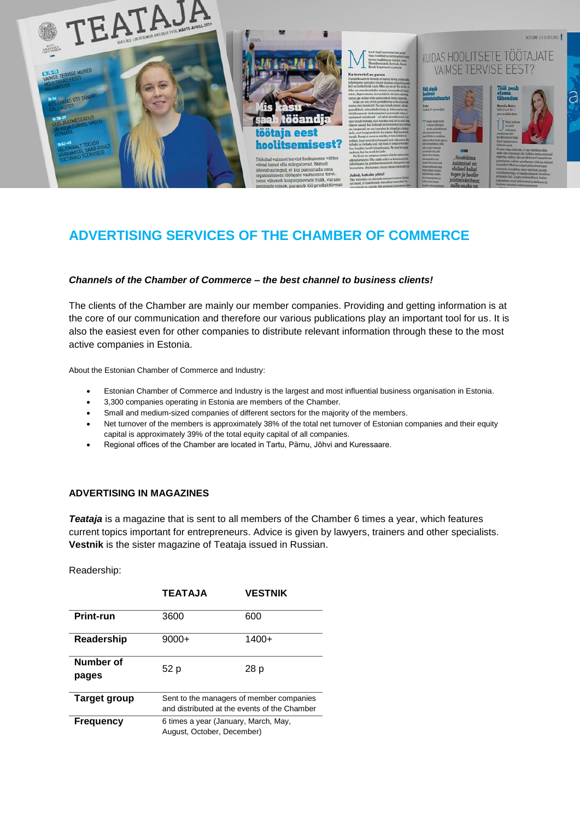

# **ADVERTISING SERVICES OF THE CHAMBER OF COMMERCE**

## *Channels of the Chamber of Commerce – the best channel to business clients!*

The clients of the Chamber are mainly our member companies. Providing and getting information is at the core of our communication and therefore our various publications play an important tool for us. It is also the easiest even for other companies to distribute relevant information through these to the most active companies in Estonia.

About the Estonian Chamber of Commerce and Industry:

- Estonian Chamber of Commerce and Industry is the largest and most influential business organisation in Estonia.
- 3,300 companies operating in Estonia are members of the Chamber.
- Small and medium-sized companies of different sectors for the majority of the members.
- Net turnover of the members is approximately 38% of the total net turnover of Estonian companies and their equity capital is approximately 39% of the total equity capital of all companies.
- Regional offices of the Chamber are located in Tartu, Pärnu, Jõhvi and Kuressaare.

### **ADVERTISING IN MAGAZINES**

*Teataja* is a magazine that is sent to all members of the Chamber 6 times a year, which features current topics important for entrepreneurs. Advice is given by lawyers, trainers and other specialists. **Vestnik** is the sister magazine of Teataja issued in Russian.

Readership:

|                     | <b>TEATAJA</b>                                                                           | <b>VESTNIK</b> |  |  |
|---------------------|------------------------------------------------------------------------------------------|----------------|--|--|
| <b>Print-run</b>    | 3600                                                                                     | 600            |  |  |
| Readership          | $9000+$                                                                                  | $1400+$        |  |  |
| Number of<br>pages  | 52 p                                                                                     | 28 p           |  |  |
| <b>Target group</b> | Sent to the managers of member companies<br>and distributed at the events of the Chamber |                |  |  |
| <b>Frequency</b>    | 6 times a year (January, March, May,<br>August, October, December)                       |                |  |  |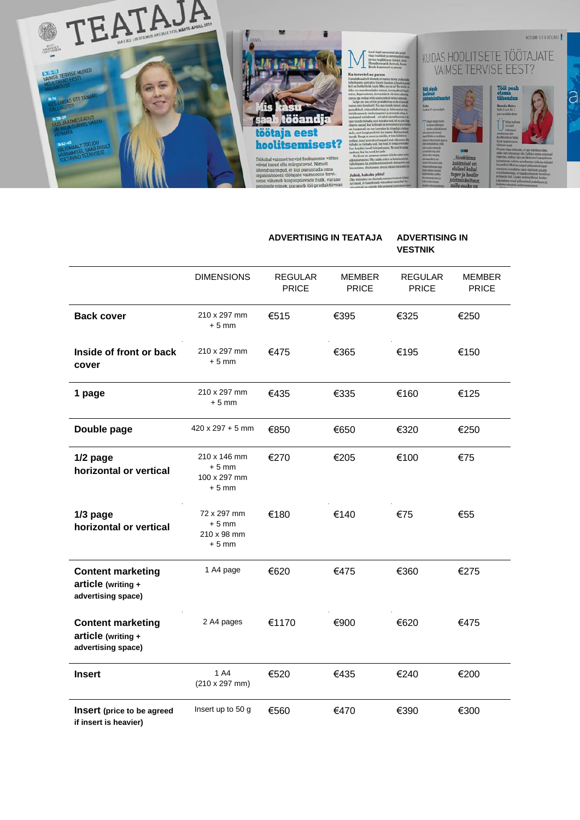

#### **ADVERTISING IN TEATAJA ADVERTISING IN VESTNIK**

|                                                                        | <b>DIMENSIONS</b>                                  | <b>REGULAR</b><br><b>PRICE</b> | <b>MEMBER</b><br><b>PRICE</b> | <b>REGULAR</b><br><b>PRICE</b> | <b>MEMBER</b><br><b>PRICE</b> |
|------------------------------------------------------------------------|----------------------------------------------------|--------------------------------|-------------------------------|--------------------------------|-------------------------------|
| <b>Back cover</b>                                                      | 210 x 297 mm<br>$+5$ mm                            | €515                           | €395                          | €325                           | €250                          |
| Inside of front or back<br>cover                                       | 210 x 297 mm<br>$+5$ mm                            | €475                           | €365                          | €195                           | €150                          |
| 1 page                                                                 | 210 x 297 mm<br>$+5$ mm                            | €435                           | €335                          | €160                           | €125                          |
| Double page                                                            | $420 \times 297 + 5$ mm                            | €850                           | €650                          | €320                           | €250                          |
| $1/2$ page<br>horizontal or vertical                                   | 210 x 146 mm<br>$+5$ mm<br>100 x 297 mm<br>$+5$ mm | €270                           | €205                          | €100                           | €75                           |
| $1/3$ page<br>horizontal or vertical                                   | 72 x 297 mm<br>$+5$ mm<br>210 x 98 mm<br>$+5$ mm   | €180                           | €140                          | €75                            | €55                           |
| <b>Content marketing</b><br>$article (writing +$<br>advertising space) | 1 A4 page                                          | €620                           | €475                          | €360                           | €275                          |
| <b>Content marketing</b><br>article (writing +<br>advertising space)   | 2 A4 pages                                         | €1170                          | €900                          | €620                           | €475                          |
| <b>Insert</b>                                                          | 1 A4<br>$(210 \times 297 \text{ mm})$              | €520                           | €435                          | €240                           | €200                          |
| Insert (price to be agreed<br>if insert is heavier)                    | Insert up to 50 g                                  | €560                           | €470                          | €390                           | €300                          |